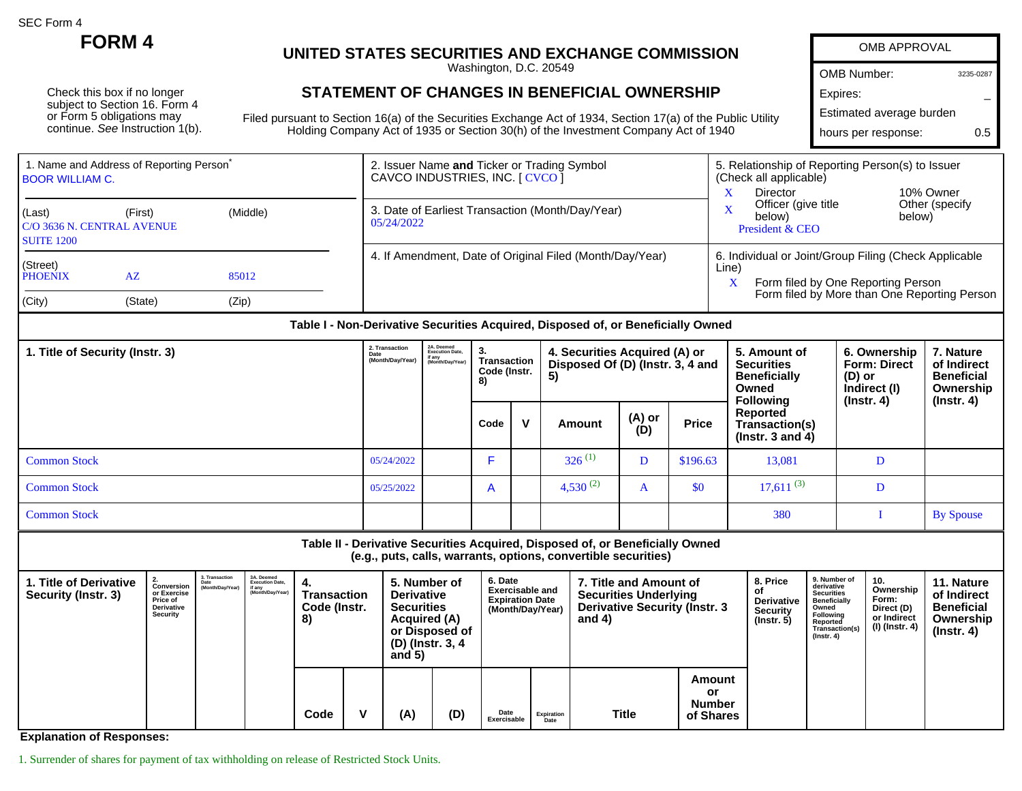SEC Form 4

Check this box if no longer subject to Section 16. Form 4 or Form 5 obligations may continue. See Instruction 1(b).

## **FORM 4 UNITED STATES SECURITIES AND EXCHANGE COMMISSION**

Washington, D.C. 20549

## **STATEMENT OF CHANGES IN BENEFICIAL OWNERSHIP**

Filed pursuant to Section 16(a) of the Securities Exchange Act of 1934, Section 17(a) of the Public Utility Holding Company Act of 1935 or Section 30(h) of the Investment Company Act of 1940

| OMB APPROVAL             |           |  |  |  |  |  |  |  |  |  |
|--------------------------|-----------|--|--|--|--|--|--|--|--|--|
| <b>OMB Number:</b>       | 3235-0287 |  |  |  |  |  |  |  |  |  |
| Expires:                 |           |  |  |  |  |  |  |  |  |  |
| Estimated average burden |           |  |  |  |  |  |  |  |  |  |
| hours per response:      | በ 5       |  |  |  |  |  |  |  |  |  |

| 1. Name and Address of Reporting Person <sup>®</sup><br><b>BOOR WILLIAM C.</b> |                                                   |       | 2. Issuer Name and Ticker or Trading Symbol<br>CAVCO INDUSTRIES, INC. [ CVCO ] | 5. Relationship of Reporting Person(s) to Issuer<br>(Check all applicable)<br>Director<br>10% Owner                                                       |  |  |  |
|--------------------------------------------------------------------------------|---------------------------------------------------|-------|--------------------------------------------------------------------------------|-----------------------------------------------------------------------------------------------------------------------------------------------------------|--|--|--|
| (Last)<br><b>SUITE 1200</b>                                                    | (Middle)<br>(First)<br>C/O 3636 N. CENTRAL AVENUE |       | 3. Date of Earliest Transaction (Month/Day/Year)<br>05/24/2022                 | Other (specify<br>Officer (give title<br>below)<br>below)<br>President & CEO                                                                              |  |  |  |
| (Street)<br>PHOENIX                                                            | AZ                                                | 85012 | 4. If Amendment, Date of Original Filed (Month/Day/Year)                       | 6. Individual or Joint/Group Filing (Check Applicable<br>Line)<br>Form filed by One Reporting Person<br>A<br>Form filed by More than One Reporting Person |  |  |  |
| (City)                                                                         | (State)                                           | (Zip) |                                                                                |                                                                                                                                                           |  |  |  |

## **Table I - Non-Derivative Securities Acquired, Disposed of, or Beneficially Owned**

| 1. Title of Security (Instr. 3) |            | 2A. Deemed<br>Execution Date,<br>if any<br>Month/Day/Year) | 3.<br>Transaction<br>Code (Instr.<br>8) |              | 4. Securities Acquired (A) or<br>Disposed Of (D) (Instr. 3, 4 and<br>5) |               |              | 5. Amount of<br><b>Securities</b><br><b>Beneficially</b><br>Owned<br><b>Following</b> | 6. Ownership<br><b>Form: Direct</b><br>(D) or<br>Indirect (I)<br>(Instr. 4) | 7. Nature<br>of Indirect<br><b>Beneficial</b><br>Ownership |
|---------------------------------|------------|------------------------------------------------------------|-----------------------------------------|--------------|-------------------------------------------------------------------------|---------------|--------------|---------------------------------------------------------------------------------------|-----------------------------------------------------------------------------|------------------------------------------------------------|
|                                 |            |                                                            | Code                                    | $\mathbf{v}$ | Amount                                                                  | (A) or<br>(D) | <b>Price</b> | Reported<br>Transaction(s)<br>$($ lnstr. 3 and 4 $)$                                  |                                                                             | (Instr. 4)                                                 |
| <b>Common Stock</b>             | 05/24/2022 |                                                            |                                         |              | $326^{(1)}$                                                             |               | \$196.63     | 13,081                                                                                | D                                                                           |                                                            |
| <b>Common Stock</b>             | 05/25/2022 |                                                            | $\mathsf{A}$                            |              | 4,530 $^{(2)}$                                                          | A             | \$0          | $17,611^{(3)}$                                                                        | D                                                                           |                                                            |
| <b>Common Stock</b>             |            |                                                            |                                         |              |                                                                         |               |              | 380                                                                                   |                                                                             | <b>By Spouse</b>                                           |

**Table II - Derivative Securities Acquired, Disposed of, or Beneficially Owned (e.g., puts, calls, warrants, options, convertible securities)**

| 1. Title of Derivative<br>Security (Instr. 3) | Conversion<br>or Exercise<br>Price of<br>Derivative<br>Security | 3. Transaction<br>Date<br>(Month/Day/Year) | 3A. Deemed<br>Execution Date.<br>if any<br>(Month/Day/Year) | 4.<br>Transaction<br>Code (Instr.<br>8) |   | 5. Number of<br><b>Derivative</b><br><b>Securities</b><br><b>Acquired (A)</b><br>or Disposed of<br>(D) (Instr. 3, 4<br>and $5)$ |     | 6. Date<br><b>Exercisable and</b><br><b>Expiration Date</b><br>(Month/Day/Year) |                    | 7. Title and Amount of<br><b>Securities Underlying</b><br><b>Derivative Security (Instr. 3</b><br>and $4)$ |                                            | 8. Price<br><b>Derivative</b><br><b>Security</b><br>$($ lnstr. 5 $)$ | 9. Number of<br>derivative<br><b>Securities</b><br>Beneficially<br>Owned<br>Following<br>Reported<br>Transaction(s)<br>$($ Instr. 4 $)$ | 10.<br>Ownership<br>Form:<br>Direct (D)<br>or Indirect<br>(I) (Instr. 4) | 11. Nature<br>of Indirect<br><b>Beneficial</b><br>Ownership<br>$($ lnstr. 4 $)$ |
|-----------------------------------------------|-----------------------------------------------------------------|--------------------------------------------|-------------------------------------------------------------|-----------------------------------------|---|---------------------------------------------------------------------------------------------------------------------------------|-----|---------------------------------------------------------------------------------|--------------------|------------------------------------------------------------------------------------------------------------|--------------------------------------------|----------------------------------------------------------------------|-----------------------------------------------------------------------------------------------------------------------------------------|--------------------------------------------------------------------------|---------------------------------------------------------------------------------|
|                                               |                                                                 |                                            |                                                             | Code                                    | v | (A)                                                                                                                             | (D) | Date<br>Exercisable                                                             | Expiration<br>Date | Title                                                                                                      | Amount<br>or<br><b>Number</b><br>of Shares |                                                                      |                                                                                                                                         |                                                                          |                                                                                 |

**Explanation of Responses:**

1. Surrender of shares for payment of tax withholding on release of Restricted Stock Units.